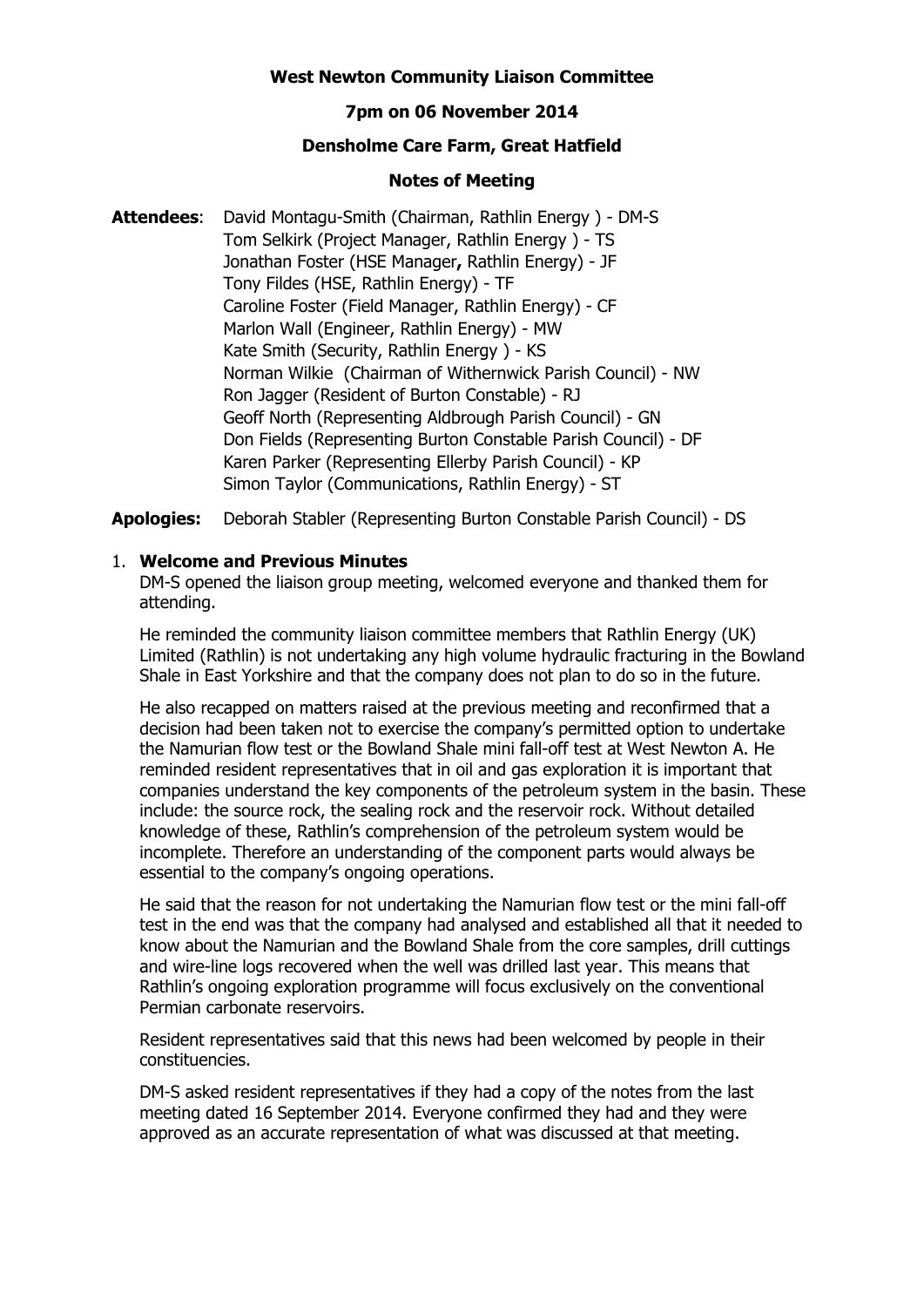### **West Newton Community Liaison Committee**

## **7pm on 06 November 2014**

# **Densholme Care Farm, Great Hatfield**

### **Notes of Meeting**

**Attendees**: David Montagu-Smith (Chairman, Rathlin Energy ) - DM-S Tom Selkirk (Project Manager, Rathlin Energy ) - TS Jonathan Foster (HSE Manager**,** Rathlin Energy) - JF Tony Fildes (HSE, Rathlin Energy) - TF Caroline Foster (Field Manager, Rathlin Energy) - CF Marlon Wall (Engineer, Rathlin Energy) - MW Kate Smith (Security, Rathlin Energy ) - KS Norman Wilkie (Chairman of Withernwick Parish Council) - NW Ron Jagger (Resident of Burton Constable) - RJ Geoff North (Representing Aldbrough Parish Council) - GN Don Fields (Representing Burton Constable Parish Council) - DF Karen Parker (Representing Ellerby Parish Council) - KP Simon Taylor (Communications, Rathlin Energy) - ST

**Apologies:** Deborah Stabler (Representing Burton Constable Parish Council) - DS

## 1. **Welcome and Previous Minutes**

DM-S opened the liaison group meeting, welcomed everyone and thanked them for attending.

He reminded the community liaison committee members that Rathlin Energy (UK) Limited (Rathlin) is not undertaking any high volume hydraulic fracturing in the Bowland Shale in East Yorkshire and that the company does not plan to do so in the future.

He also recapped on matters raised at the previous meeting and reconfirmed that a decision had been taken not to exercise the company's permitted option to undertake the Namurian flow test or the Bowland Shale mini fall-off test at West Newton A. He reminded resident representatives that in oil and gas exploration it is important that companies understand the key components of the petroleum system in the basin. These include: the source rock, the sealing rock and the reservoir rock. Without detailed knowledge of these, Rathlin's comprehension of the petroleum system would be incomplete. Therefore an understanding of the component parts would always be essential to the company's ongoing operations.

He said that the reason for not undertaking the Namurian flow test or the mini fall-off test in the end was that the company had analysed and established all that it needed to know about the Namurian and the Bowland Shale from the core samples, drill cuttings and wire-line logs recovered when the well was drilled last year. This means that Rathlin's ongoing exploration programme will focus exclusively on the conventional Permian carbonate reservoirs.

Resident representatives said that this news had been welcomed by people in their constituencies.

DM-S asked resident representatives if they had a copy of the notes from the last meeting dated 16 September 2014. Everyone confirmed they had and they were approved as an accurate representation of what was discussed at that meeting.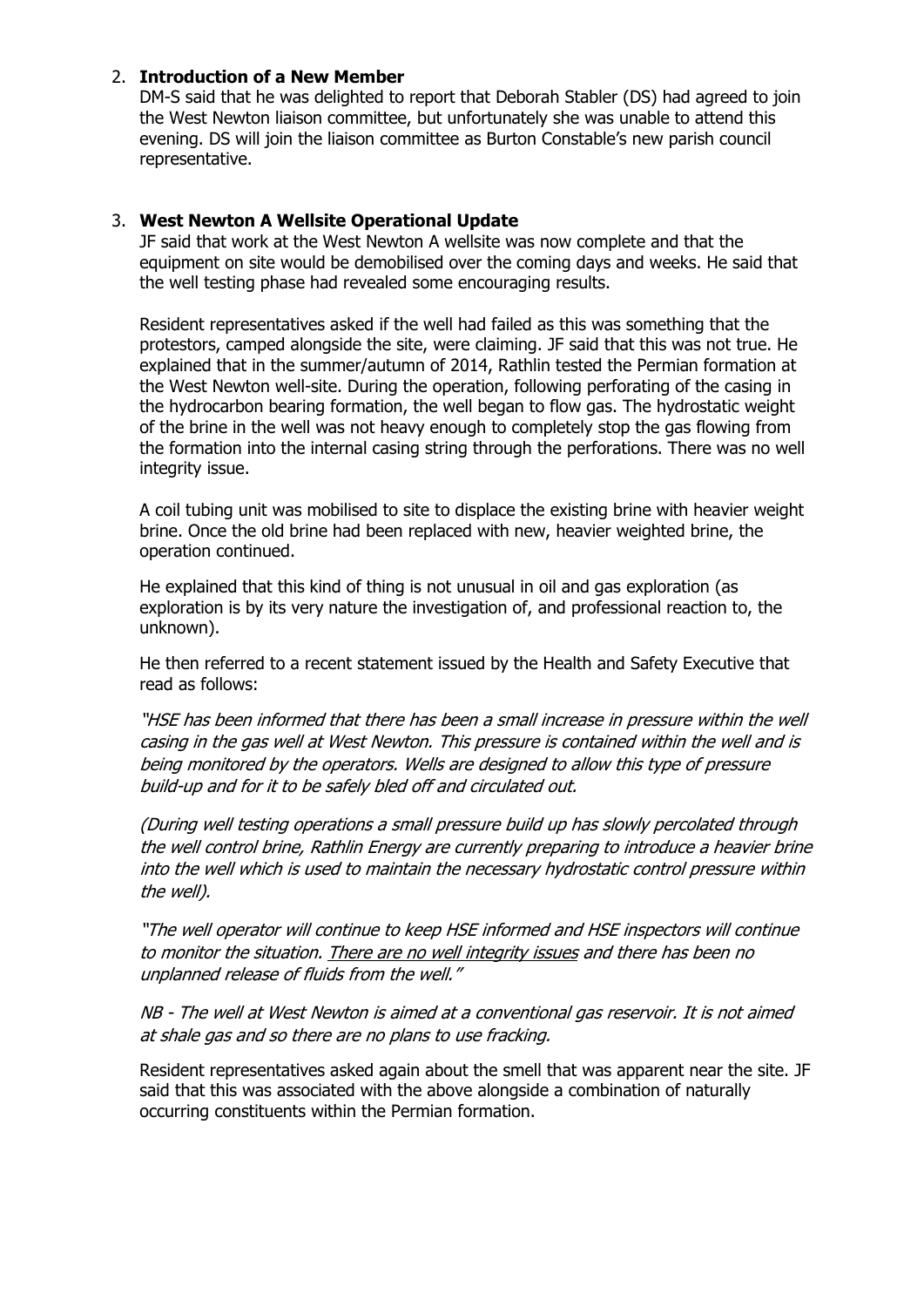## 2. **Introduction of a New Member**

DM-S said that he was delighted to report that Deborah Stabler (DS) had agreed to join the West Newton liaison committee, but unfortunately she was unable to attend this evening. DS will join the liaison committee as Burton Constable's new parish council representative.

## 3. **West Newton A Wellsite Operational Update**

JF said that work at the West Newton A wellsite was now complete and that the equipment on site would be demobilised over the coming days and weeks. He said that the well testing phase had revealed some encouraging results.

Resident representatives asked if the well had failed as this was something that the protestors, camped alongside the site, were claiming. JF said that this was not true. He explained that in the summer/autumn of 2014, Rathlin tested the Permian formation at the West Newton well-site. During the operation, following perforating of the casing in the hydrocarbon bearing formation, the well began to flow gas. The hydrostatic weight of the brine in the well was not heavy enough to completely stop the gas flowing from the formation into the internal casing string through the perforations. There was no well integrity issue.

A coil tubing unit was mobilised to site to displace the existing brine with heavier weight brine. Once the old brine had been replaced with new, heavier weighted brine, the operation continued.

He explained that this kind of thing is not unusual in oil and gas exploration (as exploration is by its very nature the investigation of, and professional reaction to, the unknown).

He then referred to a recent statement issued by the Health and Safety Executive that read as follows:

"HSE has been informed that there has been a small increase in pressure within the well casing in the gas well at West Newton. This pressure is contained within the well and is being monitored by the operators. Wells are designed to allow this type of pressure build-up and for it to be safely bled off and circulated out.

(During well testing operations a small pressure build up has slowly percolated through the well control brine, Rathlin Energy are currently preparing to introduce a heavier brine into the well which is used to maintain the necessary hydrostatic control pressure within the well).

"The well operator will continue to keep HSE informed and HSE inspectors will continue to monitor the situation. There are no well integrity issues and there has been no unplanned release of fluids from the well."

NB - The well at West Newton is aimed at a conventional gas reservoir. It is not aimed at shale gas and so there are no plans to use fracking.

Resident representatives asked again about the smell that was apparent near the site. JF said that this was associated with the above alongside a combination of naturally occurring constituents within the Permian formation.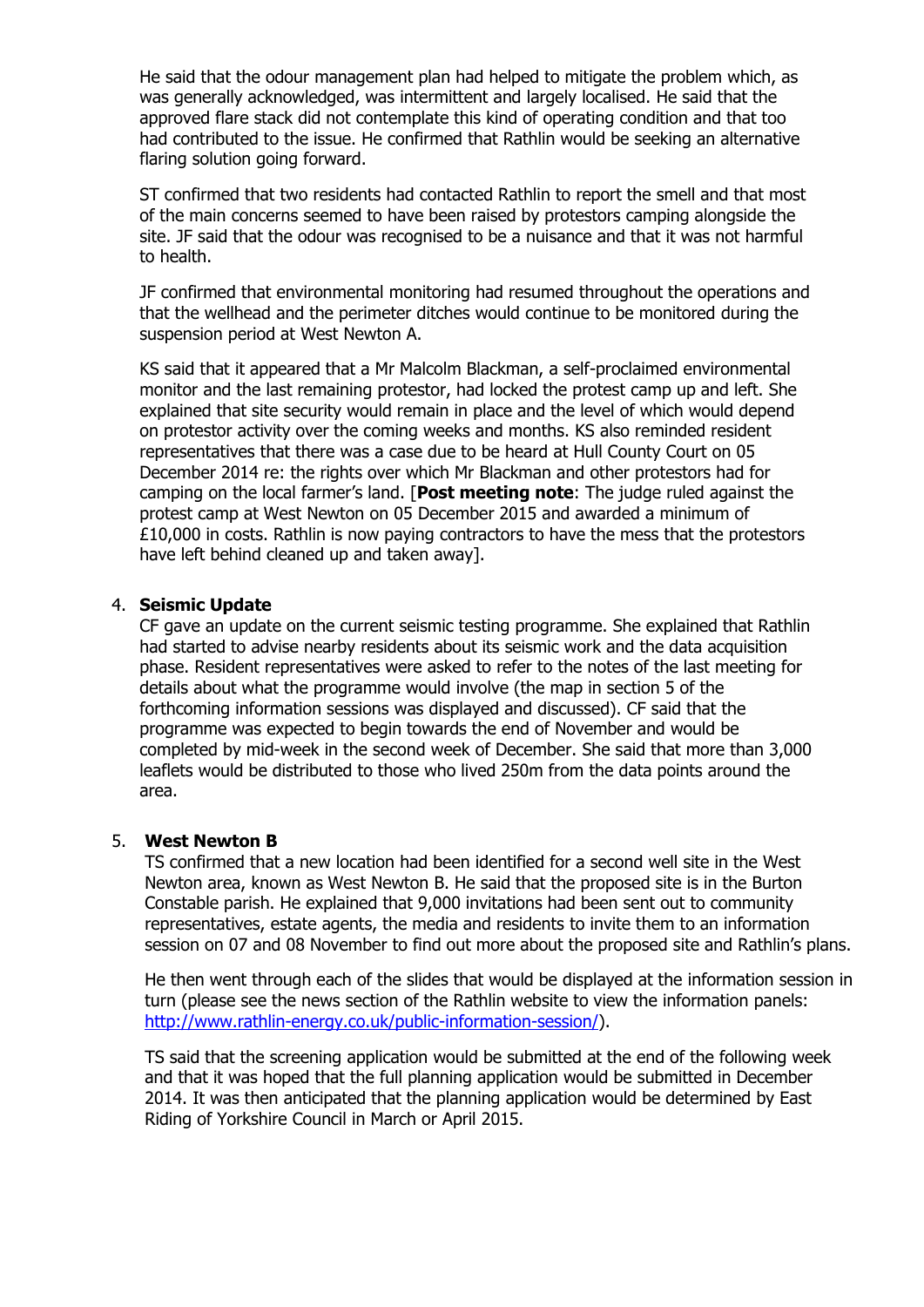He said that the odour management plan had helped to mitigate the problem which, as was generally acknowledged, was intermittent and largely localised. He said that the approved flare stack did not contemplate this kind of operating condition and that too had contributed to the issue. He confirmed that Rathlin would be seeking an alternative flaring solution going forward.

ST confirmed that two residents had contacted Rathlin to report the smell and that most of the main concerns seemed to have been raised by protestors camping alongside the site. JF said that the odour was recognised to be a nuisance and that it was not harmful to health.

JF confirmed that environmental monitoring had resumed throughout the operations and that the wellhead and the perimeter ditches would continue to be monitored during the suspension period at West Newton A.

KS said that it appeared that a Mr Malcolm Blackman, a self-proclaimed environmental monitor and the last remaining protestor, had locked the protest camp up and left. She explained that site security would remain in place and the level of which would depend on protestor activity over the coming weeks and months. KS also reminded resident representatives that there was a case due to be heard at Hull County Court on 05 December 2014 re: the rights over which Mr Blackman and other protestors had for camping on the local farmer's land. [**Post meeting note**: The judge ruled against the protest camp at West Newton on 05 December 2015 and awarded a minimum of £10,000 in costs. Rathlin is now paying contractors to have the mess that the protestors have left behind cleaned up and taken away].

## 4. **Seismic Update**

CF gave an update on the current seismic testing programme. She explained that Rathlin had started to advise nearby residents about its seismic work and the data acquisition phase. Resident representatives were asked to refer to the notes of the last meeting for details about what the programme would involve (the map in section 5 of the forthcoming information sessions was displayed and discussed). CF said that the programme was expected to begin towards the end of November and would be completed by mid-week in the second week of December. She said that more than 3,000 leaflets would be distributed to those who lived 250m from the data points around the area.

# 5. **West Newton B**

TS confirmed that a new location had been identified for a second well site in the West Newton area, known as West Newton B. He said that the proposed site is in the Burton Constable parish. He explained that 9,000 invitations had been sent out to community representatives, estate agents, the media and residents to invite them to an information session on 07 and 08 November to find out more about the proposed site and Rathlin's plans.

He then went through each of the slides that would be displayed at the information session in turn (please see the news section of the Rathlin website to view the information panels: [http://www.rathlin-energy.co.uk/public-information-session/\)](http://www.rathlin-energy.co.uk/public-information-session/).

TS said that the screening application would be submitted at the end of the following week and that it was hoped that the full planning application would be submitted in December 2014. It was then anticipated that the planning application would be determined by East Riding of Yorkshire Council in March or April 2015.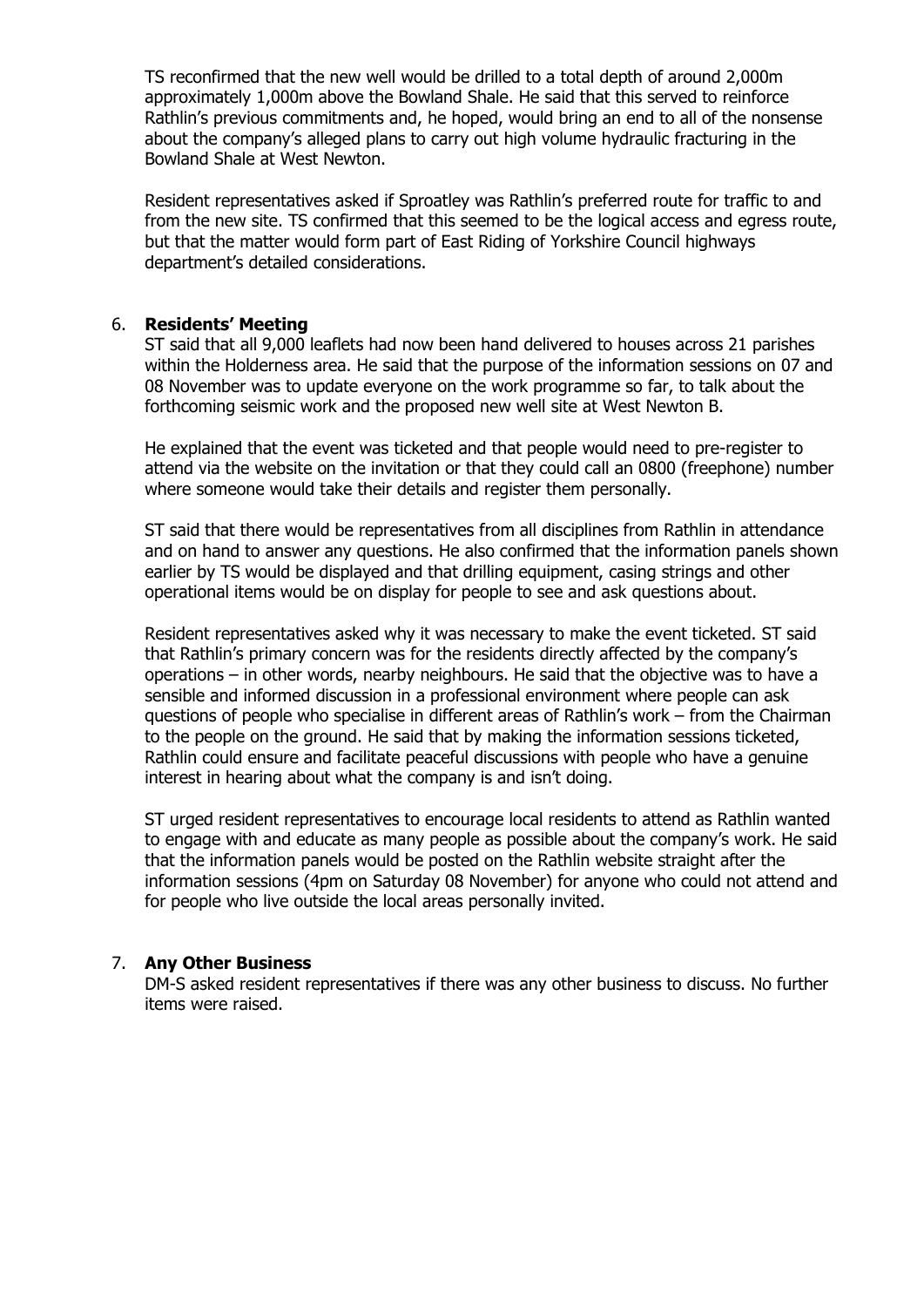TS reconfirmed that the new well would be drilled to a total depth of around 2,000m approximately 1,000m above the Bowland Shale. He said that this served to reinforce Rathlin's previous commitments and, he hoped, would bring an end to all of the nonsense about the company's alleged plans to carry out high volume hydraulic fracturing in the Bowland Shale at West Newton.

Resident representatives asked if Sproatley was Rathlin's preferred route for traffic to and from the new site. TS confirmed that this seemed to be the logical access and egress route, but that the matter would form part of East Riding of Yorkshire Council highways department's detailed considerations.

## 6. **Residents' Meeting**

ST said that all 9,000 leaflets had now been hand delivered to houses across 21 parishes within the Holderness area. He said that the purpose of the information sessions on 07 and 08 November was to update everyone on the work programme so far, to talk about the forthcoming seismic work and the proposed new well site at West Newton B.

He explained that the event was ticketed and that people would need to pre-register to attend via the website on the invitation or that they could call an 0800 (freephone) number where someone would take their details and register them personally.

ST said that there would be representatives from all disciplines from Rathlin in attendance and on hand to answer any questions. He also confirmed that the information panels shown earlier by TS would be displayed and that drilling equipment, casing strings and other operational items would be on display for people to see and ask questions about.

Resident representatives asked why it was necessary to make the event ticketed. ST said that Rathlin's primary concern was for the residents directly affected by the company's operations – in other words, nearby neighbours. He said that the objective was to have a sensible and informed discussion in a professional environment where people can ask questions of people who specialise in different areas of Rathlin's work – from the Chairman to the people on the ground. He said that by making the information sessions ticketed, Rathlin could ensure and facilitate peaceful discussions with people who have a genuine interest in hearing about what the company is and isn't doing.

ST urged resident representatives to encourage local residents to attend as Rathlin wanted to engage with and educate as many people as possible about the company's work. He said that the information panels would be posted on the Rathlin website straight after the information sessions (4pm on Saturday 08 November) for anyone who could not attend and for people who live outside the local areas personally invited.

#### 7. **Any Other Business**

DM-S asked resident representatives if there was any other business to discuss. No further items were raised.